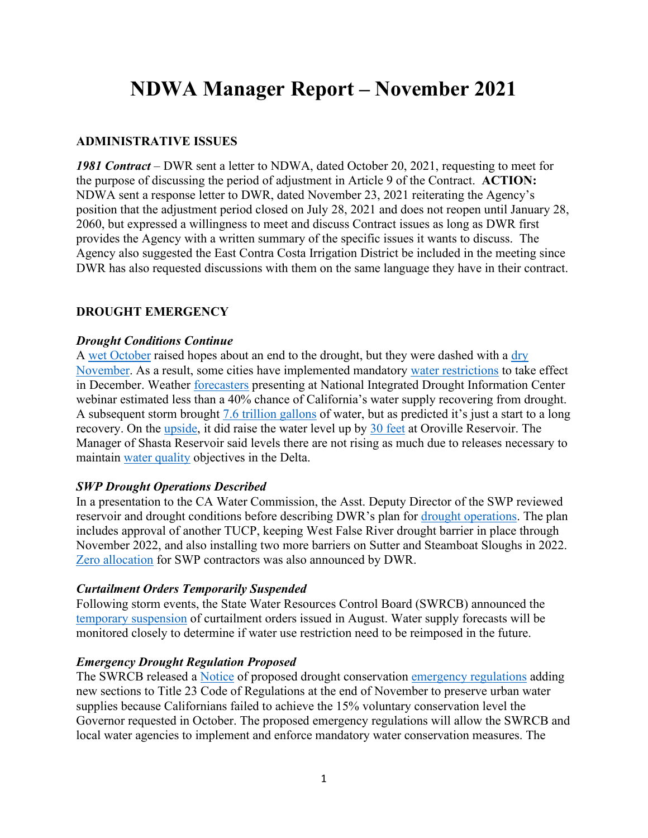# **NDWA Manager Report – November 2021**

#### **ADMINISTRATIVE ISSUES**

1981 Contract – DWR sent a letter to NDWA, dated October 20, 2021, requesting to meet for the purpose of discussing the period of adjustment in Article 9 of the Contract. **ACTION:** NDWA sent a response letter to DWR, dated November 23, 2021 reiterating the Agency's position that the adjustment period closed on July 28, 2021 and does not reopen until January 28, 2060, but expressed a willingness to meet and discuss Contract issues as long as DWR first provides the Agency with a written summary of the specific issues it wants to discuss. The Agency also suggested the East Contra Costa Irrigation District be included in the meeting since DWR has also requested discussions with them on the same language they have in their contract.

#### **DROUGHT EMERGENCY**

#### *Drought Conditions Continue*

A [wet October](https://californiawaterblog.com/2021/11/28/how-dry-will-2022-be/) raised hopes about an end to the drought, but they were dashed with a [dry](https://www.ktvu.com/news/california-remains-in-precarious-water-predicament)  [November.](https://www.ktvu.com/news/california-remains-in-precarious-water-predicament) As a result, some cities have implemented mandatory [water restrictions](https://www.kget.com/news/local-news/bakersfield-issues-mandatory-water-restrictions/) to take effect in December. Weather [forecasters](https://www.ocregister.com/2021/11/22/california-drought-unlikely-to-end-this-winter/) presenting at National Integrated Drought Information Center webinar estimated less than a 40% chance of California's water supply recovering from drought. A subsequent storm brought [7.6 trillion gallons](file:///C:/Users/Melinda_NDWA/AppData/Roaming/Microsoft/Word/7.6%20trillion%20gallons) of water, but as predicted it's just a start to a long recovery. On the [upside,](https://kfbk.iheart.com/featured/sacramentos-latest-news/content/2021-11-18-water-year-off-to-strong-start-for-northern-california/) it did raise the water level up by [30 feet](https://m.andnowuknow.com/buyside-news/bomb-cyclone-raises-water-levels-california-reservoirs/peggy-packer/75850) at Oroville Reservoir. The Manager of Shasta Reservoir said levels there are not rising as much due to releases necessary to maintain [water quality](https://krcrtv.com/news/local/why-isnt-shasta-lakes-water-level-rising-officials-explain) objectives in the Delta.

#### *SWP Drought Operations Described*

In a presentation to the CA Water Commission, the Asst. Deputy Director of the SWP reviewed reservoir and drought conditions before describing DWR's plan for [drought operations.](https://mavensnotebook.com/2021/11/17/ca-water-commission-state-water-project-drought-operations/) The plan includes approval of another TUCP, keeping West False River drought barrier in place through November 2022, and also installing two more barriers on Sutter and Steamboat Sloughs in 2022. [Zero allocation](https://www.latimes.com/california/story/2021-12-01/california-water-districts-will-get-no-requested-supplies-from-the-state) for SWP contractors was also announced by DWR.

#### *Curtailment Orders Temporarily Suspended*

Following storm events, the State Water Resources Control Board (SWRCB) announced the [temporary suspension](https://mavensnotebook.com/2021/11/04/update-november-3-weekly-update-on-curtailment-status-of-water-rights-and-claims-in-the-delta-watershed-update-on-enhanced-reporting-for-water-rights-and-claims-5000-acre-feet-or-greater/) of curtailment orders issued in August. Water supply forecasts will be monitored closely to determine if water use restriction need to be reimposed in the future.

#### *Emergency Drought Regulation Proposed*

The SWRCB released a [Notice](https://www.waterboards.ca.gov/water_issues/programs/conservation_portal/docs/emergency_reg/notice_droughtrulemaking.pdf) of proposed drought conservation [emergency regulations](https://www.waterboards.ca.gov/water_issues/programs/conservation_portal/docs/emergency_reg/drought_emergregtext.pdf) adding new sections to Title 23 Code of Regulations at the end of November to preserve urban water supplies because Californians failed to achieve the 15% voluntary conservation level the Governor requested in October. The proposed emergency regulations will allow the SWRCB and local water agencies to implement and enforce mandatory water conservation measures. The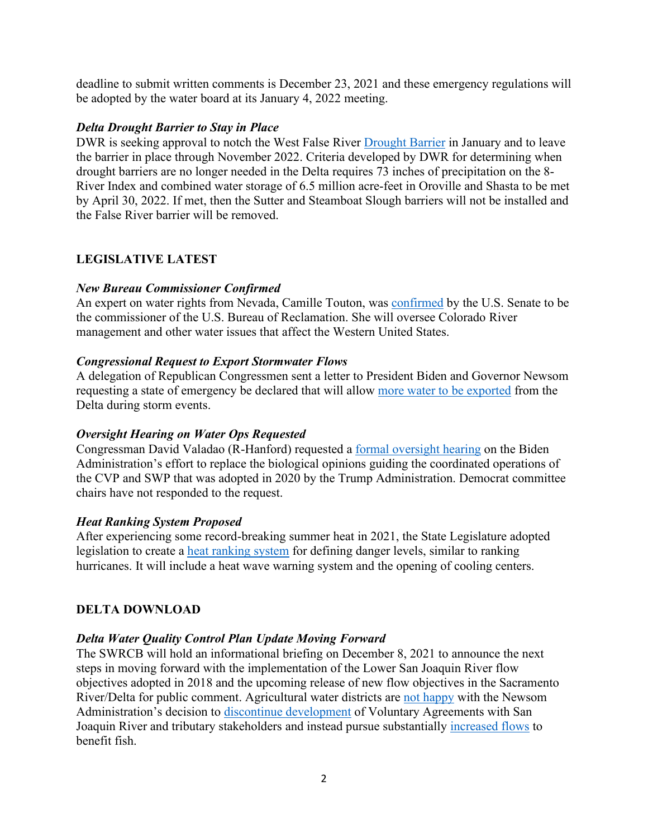deadline to submit written comments is December 23, 2021 and these emergency regulations will be adopted by the water board at its January 4, 2022 meeting.

## *Delta Drought Barrier to Stay in Place*

DWR is seeking approval to notch the West False River [Drought Barrier](https://mavensnotebook.com/2021/11/09/delta-stewardship-council-dwr-discusses-plan-to-keep-delta-drought-barrier-in-place/) in January and to leave the barrier in place through November 2022. Criteria developed by DWR for determining when drought barriers are no longer needed in the Delta requires 73 inches of precipitation on the 8- River Index and combined water storage of 6.5 million acre-feet in Oroville and Shasta to be met by April 30, 2022. If met, then the Sutter and Steamboat Slough barriers will not be installed and the False River barrier will be removed.

## **LEGISLATIVE LATEST**

## *New Bureau Commissioner Confirmed*

An expert on water rights from Nevada, Camille Touton, was [confirmed](https://www.reviewjournal.com/news/politics-and-government/touton-confirmed-as-commissioner-of-the-bureau-of-reclamation-2472150/) by the U.S. Senate to be the commissioner of the U.S. Bureau of Reclamation. She will oversee Colorado River management and other water issues that affect the Western United States.

## *Congressional Request to Export Stormwater Flows*

A delegation of Republican Congressmen sent a letter to President Biden and Governor Newsom requesting a state of emergency be declared that will allow [more water to be exported](https://www.kvcrnews.org/california-news/2021-11-02/rep-calvert-and-fellow-ca-republicans-request-water-state-of-emergency) from the Delta during storm events.

## *Oversight Hearing on Water Ops Requested*

Congressman David Valadao (R-Hanford) requested a [formal oversight hearing](https://www.kget.com/news/local-news/rep-valadao-requests-oversight-hearing-over-halt-on-water-operations-plan-impacting-central-valley/) on the Biden Administration's effort to replace the biological opinions guiding the coordinated operations of the CVP and SWP that was adopted in 2020 by the Trump Administration. Democrat committee chairs have not responded to the request.

#### *Heat Ranking System Proposed*

After experiencing some record-breaking summer heat in 2021, the State Legislature adopted legislation to create a [heat ranking system](https://www.accuweather.com/en/weather-news/california-1st-of-its-kind-heat-ranking-system/1053542) for defining danger levels, similar to ranking hurricanes. It will include a heat wave warning system and the opening of cooling centers.

## **DELTA DOWNLOAD**

## *Delta Water Quality Control Plan Update Moving Forward*

The SWRCB will hold an informational briefing on December 8, 2021 to announce the next steps in moving forward with the implementation of the Lower San Joaquin River flow objectives adopted in 2018 and the upcoming release of new flow objectives in the Sacramento River/Delta for public comment. Agricultural water districts are [not happy](https://agalert.com/story/?id=15394) with the Newsom Administration's decision to [discontinue development](https://www.mantecabulletin.com/news/local-news/newsom-adminstration-breaks-water-talks/) of Voluntary Agreements with San Joaquin River and tributary stakeholders and instead pursue substantially [increased flows](http://www.westsideconnect.com/community/state-water-board-ends-local-voluntary-agreement/article_6aeecfb6-3da4-11ec-8db7-dba41a1849b6.html) to benefit fish.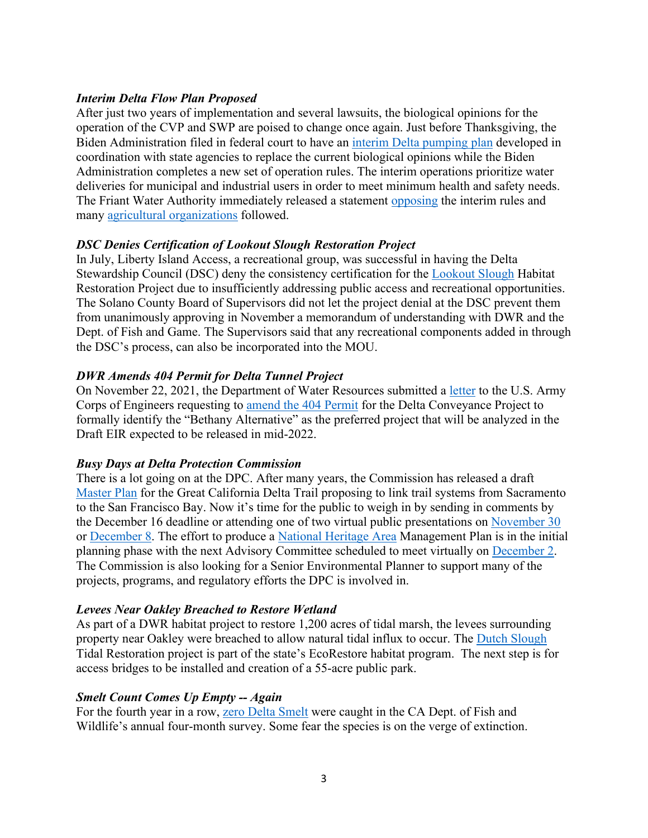## *Interim Delta Flow Plan Proposed*

After just two years of implementation and several lawsuits, the biological opinions for the operation of the CVP and SWP are poised to change once again. Just before Thanksgiving, the Biden Administration filed in federal court to have an interim [Delta pumping plan](https://sjvsun.com/ag/ahead-of-thanksgiving-biden-newsom-admin-press-judge-to-adopt-calif-water-restrictions/) developed in coordination with state agencies to replace the current biological opinions while the Biden Administration completes a new set of operation rules. The interim operations prioritize water deliveries for municipal and industrial users in order to meet minimum health and safety needs. The Friant Water Authority immediately released a statement [opposing](https://static1.squarespace.com/static/58c2eccc15d5db46200ea426/t/619ec441962f9d1b879676c2/1637794881434/20211124+FWA+Statement+on+IOP.pdf) the interim rules and many [agricultural organizations](https://agnetwest.com/ag-groups-and-lawmakers-concerned-by-new-operating-plan-for-water-projects/) followed.

## *DSC Denies Certification of Lookout Slough Restoration Project*

In July, Liberty Island Access, a recreational group, was successful in having the Delta Stewardship Council (DSC) deny the consistency certification for the [Lookout Slough](https://www.dailyrepublic.com/all-dr-news/solano-news/fairfield/supervisor-approve-pact-with-state-to-move-forward-on-lookout-slough-project/) Habitat Restoration Project due to insufficiently addressing public access and recreational opportunities. The Solano County Board of Supervisors did not let the project denial at the DSC prevent them from unanimously approving in November a memorandum of understanding with DWR and the Dept. of Fish and Game. The Supervisors said that any recreational components added in through the DSC's process, can also be incorporated into the MOU.

## *DWR Amends 404 Permit for Delta Tunnel Project*

On November 22, 2021, the Department of Water Resources submitted a [letter](https://water.ca.gov/-/media/DWR-Website/Web-Pages/Programs/Delta-Conveyance/Environmental-Planning/Department-of-the-Army-Permit-Application-SPK201900899-for-Proposed-DCPAmended-PP112221Final.pdf) to the U.S. Army Corps of Engineers requesting to [amend the 404 Permit](https://water.ca.gov/-/media/DWR-Website/Web-Pages/Programs/Delta-Conveyance/Environmental-Planning/DCP_Amended_Sec404_BackgroundQA_Nov_2021_Final.pdf) for the Delta Conveyance Project to formally identify the "Bethany Alternative" as the preferred project that will be analyzed in the Draft EIR expected to be released in mid-2022.

#### *Busy Days at Delta Protection Commission*

There is a lot going on at the DPC. After many years, the Commission has released a draft [Master Plan](http://delta.ca.gov/wp-content/uploads/2021/11/GDTMP-Public-Draft-20211118-508.pdf) for the Great California Delta Trail proposing to link trail systems from Sacramento to the San Francisco Bay. Now it's time for the public to weigh in by sending in comments by the December 16 deadline or attending one of two virtual public presentations on [November 30](https://us06web.zoom.us/meeting/register/tZUpduitrDwoE9XlqPDyC03SAjQiSDZQrOtk) or [December 8.](https://us06web.zoom.us/meeting/register/tZIscO2qpzwrHdw6A_UflaFD5C_F86evVmLV) The effort to produce a [National Heritage Area](http://delta.ca.gov/nha/?utm_medium=email&utm_source=govdelivery) Management Plan is in the initial planning phase with the next Advisory Committee scheduled to meet virtually on [December 2.](http://delta.ca.gov/wp-content/uploads/2021/11/2021-12-NHAAC-Agenda-508.pdf?utm_medium=email&utm_source=govdelivery) The Commission is also looking for a Senior Environmental Planner to support many of the projects, programs, and regulatory efforts the DPC is involved in.

#### *Levees Near Oakley Breached to Restore Wetland*

As part of a DWR habitat project to restore 1,200 acres of tidal marsh, the levees surrounding property near Oakley were breached to allow natural tidal influx to occur. The [Dutch Slough](https://www.thepress.net/townnews/hydrography/first-phase-of-wetland-restoration-project-in-oakley-nears-completion/article_59068760-3d8d-11ec-acea-83e20b11355d.html) Tidal Restoration project is part of the state's EcoRestore habitat program. The next step is for access bridges to be installed and creation of a 55-acre public park.

#### *Smelt Count Comes Up Empty -- Again*

For the fourth year in a row, [zero Delta Smelt](https://www.dailykos.com/stories/2021/11/11/2063796/-Countdown-to-Extinction-Zero-Delta-Smelt-Found-in-October-Midwater-Trawl-Survey-for-Fourth-Year) were caught in the CA Dept. of Fish and Wildlife's annual four-month survey. Some fear the species is on the verge of extinction.